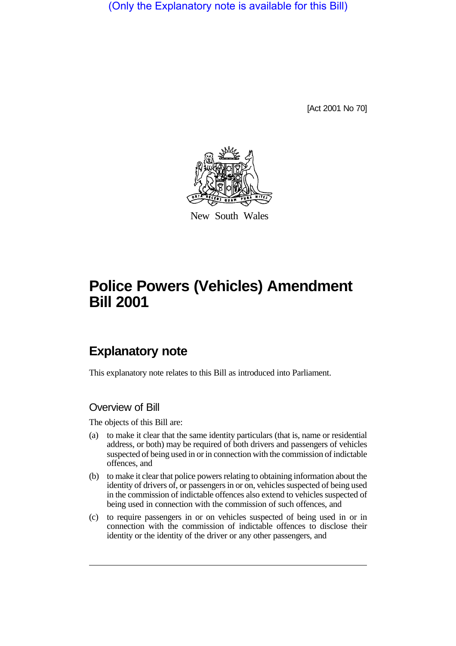(Only the Explanatory note is available for this Bill)

[Act 2001 No 70]



New South Wales

# **Police Powers (Vehicles) Amendment Bill 2001**

## **Explanatory note**

This explanatory note relates to this Bill as introduced into Parliament.

## Overview of Bill

The objects of this Bill are:

- (a) to make it clear that the same identity particulars (that is, name or residential address, or both) may be required of both drivers and passengers of vehicles suspected of being used in or in connection with the commission of indictable offences, and
- (b) to make it clear that police powers relating to obtaining information about the identity of drivers of, or passengers in or on, vehicles suspected of being used in the commission of indictable offences also extend to vehicles suspected of being used in connection with the commission of such offences, and
- (c) to require passengers in or on vehicles suspected of being used in or in connection with the commission of indictable offences to disclose their identity or the identity of the driver or any other passengers, and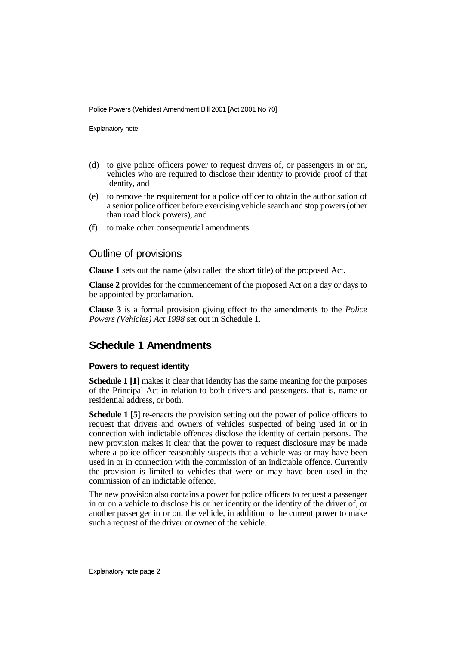Police Powers (Vehicles) Amendment Bill 2001 [Act 2001 No 70]

Explanatory note

- (d) to give police officers power to request drivers of, or passengers in or on, vehicles who are required to disclose their identity to provide proof of that identity, and
- (e) to remove the requirement for a police officer to obtain the authorisation of a senior police officer before exercising vehicle search and stop powers (other than road block powers), and
- (f) to make other consequential amendments.

### Outline of provisions

**Clause 1** sets out the name (also called the short title) of the proposed Act.

**Clause 2** provides for the commencement of the proposed Act on a day or days to be appointed by proclamation.

**Clause 3** is a formal provision giving effect to the amendments to the *Police Powers (Vehicles) Act 1998* set out in Schedule 1.

## **Schedule 1 Amendments**

#### **Powers to request identity**

**Schedule 1 [1]** makes it clear that identity has the same meaning for the purposes of the Principal Act in relation to both drivers and passengers, that is, name or residential address, or both.

**Schedule 1 [5]** re-enacts the provision setting out the power of police officers to request that drivers and owners of vehicles suspected of being used in or in connection with indictable offences disclose the identity of certain persons. The new provision makes it clear that the power to request disclosure may be made where a police officer reasonably suspects that a vehicle was or may have been used in or in connection with the commission of an indictable offence. Currently the provision is limited to vehicles that were or may have been used in the commission of an indictable offence.

The new provision also contains a power for police officers to request a passenger in or on a vehicle to disclose his or her identity or the identity of the driver of, or another passenger in or on, the vehicle, in addition to the current power to make such a request of the driver or owner of the vehicle.